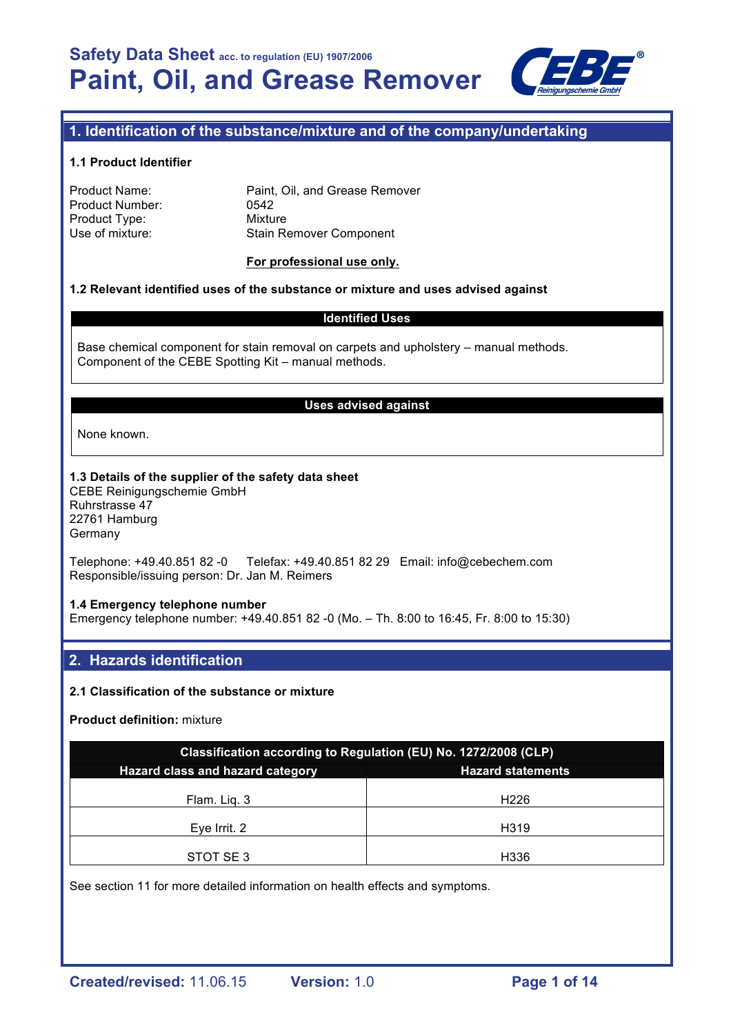

# **1. Identification of the substance/mixture and of the company/undertaking**

#### **1.1 Product Identifier**

| Product Name:   | Paint, Oil, and Grease Remover |
|-----------------|--------------------------------|
| Product Number: | 0542                           |
| Product Type:   | Mixture                        |
| Use of mixture: | <b>Stain Remover Component</b> |
|                 |                                |

#### **For professional use only.**

#### **1.2 Relevant identified uses of the substance or mixture and uses advised against**

#### **Identified Uses**

Base chemical component for stain removal on carpets and upholstery – manual methods. Component of the CEBE Spotting Kit – manual methods.

#### **Uses advised against**

None known.

# **1.3 Details of the supplier of the safety data sheet**

CEBE Reinigungschemie GmbH Ruhrstrasse 47 22761 Hamburg Germany

Telephone: +49.40.851 82 -0 Telefax: +49.40.851 82 29 Email: info@cebechem.com Responsible/issuing person: Dr. Jan M. Reimers

#### **1.4 Emergency telephone number**

Emergency telephone number: +49.40.851 82 -0 (Mo. – Th. 8:00 to 16:45, Fr. 8:00 to 15:30)

# **2. Hazards identification**

#### **2.1 Classification of the substance or mixture**

**Product definition:** mixture

| Classification according to Regulation (EU) No. 1272/2008 (CLP) |                          |  |  |  |
|-----------------------------------------------------------------|--------------------------|--|--|--|
| Hazard class and hazard category                                | <b>Hazard statements</b> |  |  |  |
| Flam. Lig. 3                                                    | H <sub>226</sub>         |  |  |  |
| Eye Irrit. 2                                                    | H319                     |  |  |  |
| STOT SE3                                                        | H336                     |  |  |  |

See section 11 for more detailed information on health effects and symptoms.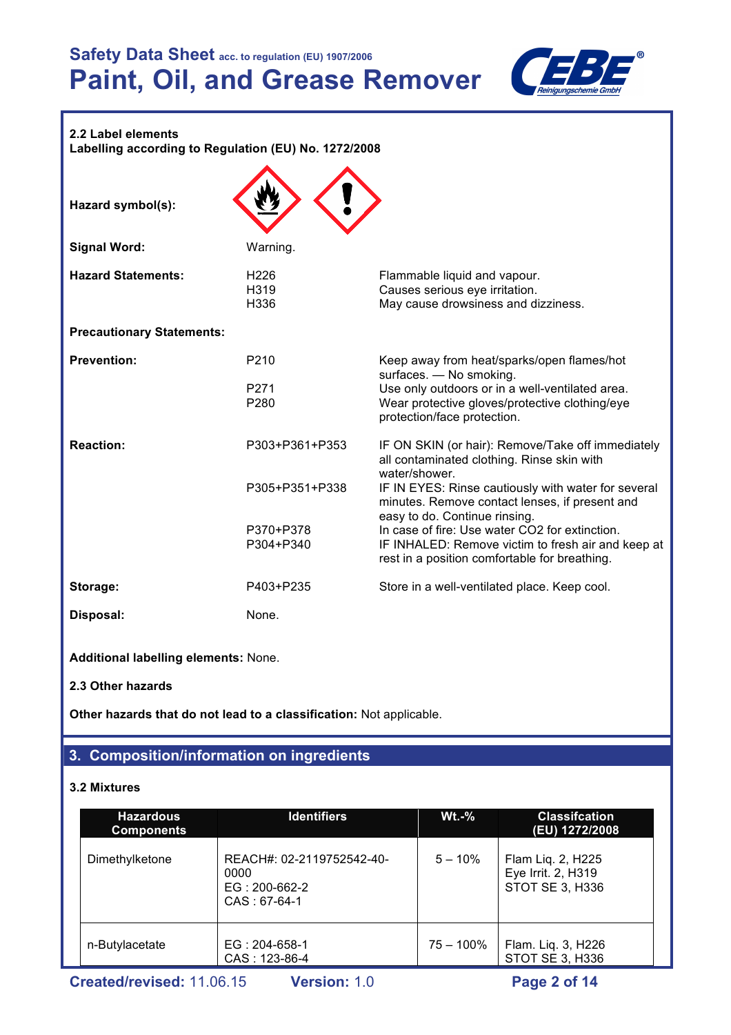

# **2.2 Label elements**

**Labelling according to Regulation (EU) No. 1272/2008**

| Hazard symbol(s):                |                                              |                                                                                                                                                                                                                                          |
|----------------------------------|----------------------------------------------|------------------------------------------------------------------------------------------------------------------------------------------------------------------------------------------------------------------------------------------|
| <b>Signal Word:</b>              | Warning.                                     |                                                                                                                                                                                                                                          |
| <b>Hazard Statements:</b>        | H <sub>226</sub><br>H319<br>H336             | Flammable liquid and vapour.<br>Causes serious eye irritation.<br>May cause drowsiness and dizziness.                                                                                                                                    |
| <b>Precautionary Statements:</b> |                                              |                                                                                                                                                                                                                                          |
| <b>Prevention:</b>               | P <sub>210</sub><br>P271<br>P <sub>280</sub> | Keep away from heat/sparks/open flames/hot<br>surfaces. - No smoking.<br>Use only outdoors or in a well-ventilated area.<br>Wear protective gloves/protective clothing/eye<br>protection/face protection.                                |
| <b>Reaction:</b>                 | P303+P361+P353<br>P305+P351+P338             | IF ON SKIN (or hair): Remove/Take off immediately<br>all contaminated clothing. Rinse skin with<br>water/shower.<br>IF IN EYES: Rinse cautiously with water for several                                                                  |
|                                  | P370+P378<br>P304+P340                       | minutes. Remove contact lenses, if present and<br>easy to do. Continue rinsing.<br>In case of fire: Use water CO2 for extinction.<br>IF INHALED: Remove victim to fresh air and keep at<br>rest in a position comfortable for breathing. |
| Storage:                         | P403+P235                                    | Store in a well-ventilated place. Keep cool.                                                                                                                                                                                             |
| Disposal:                        | None.                                        |                                                                                                                                                                                                                                          |

**Additional labelling elements:** None.

**2.3 Other hazards**

**Other hazards that do not lead to a classification:** Not applicable.

# **3. Composition/information on ingredients**

# **3.2 Mixtures**

| <b>Identifiers</b><br><b>Hazardous</b><br><b>Components</b> |                                                                       | <b>Wt.-%</b> | <b>Classifcation</b><br>(EU) 1272/2008                     |  |
|-------------------------------------------------------------|-----------------------------------------------------------------------|--------------|------------------------------------------------------------|--|
| Dimethylketone                                              | REACH#: 02-2119752542-40-<br>0000<br>EG: 200-662-2<br>$CAS : 67-64-1$ | $5 - 10\%$   | Flam Liq. 2, H225<br>Eye Irrit. 2, H319<br>STOT SE 3, H336 |  |
| n-Butylacetate                                              | EG: 204-658-1<br>CAS: 123-86-4                                        | $75 - 100\%$ | Flam. Liq. 3, H226<br>STOT SE 3, H336                      |  |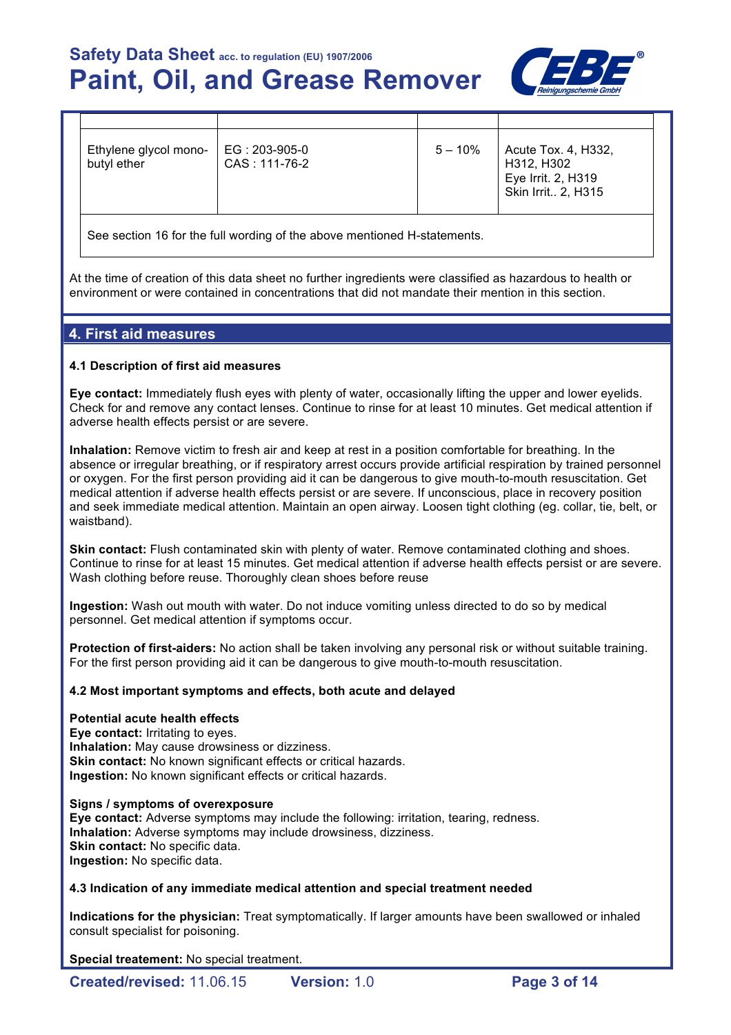

| Ethylene glycol mono-<br>EG: 203-905-0<br>$\vert$ Acute Tox. 4, H332,<br>$5 - 10\%$<br>butyl ether<br>CAS: 111-76-2<br>H312, H302<br>Eye Irrit. 2, H319<br>Skin Irrit 2, H315 |  |  |  |
|-------------------------------------------------------------------------------------------------------------------------------------------------------------------------------|--|--|--|
|                                                                                                                                                                               |  |  |  |

See section 16 for the full wording of the above mentioned H-statements.

At the time of creation of this data sheet no further ingredients were classified as hazardous to health or environment or were contained in concentrations that did not mandate their mention in this section.

# **4. First aid measures**

#### **4.1 Description of first aid measures**

**Eye contact:** Immediately flush eyes with plenty of water, occasionally lifting the upper and lower eyelids. Check for and remove any contact lenses. Continue to rinse for at least 10 minutes. Get medical attention if adverse health effects persist or are severe.

**Inhalation:** Remove victim to fresh air and keep at rest in a position comfortable for breathing. In the absence or irregular breathing, or if respiratory arrest occurs provide artificial respiration by trained personnel or oxygen. For the first person providing aid it can be dangerous to give mouth-to-mouth resuscitation. Get medical attention if adverse health effects persist or are severe. If unconscious, place in recovery position and seek immediate medical attention. Maintain an open airway. Loosen tight clothing (eg. collar, tie, belt, or waistband).

**Skin contact:** Flush contaminated skin with plenty of water. Remove contaminated clothing and shoes. Continue to rinse for at least 15 minutes. Get medical attention if adverse health effects persist or are severe. Wash clothing before reuse. Thoroughly clean shoes before reuse

**Ingestion:** Wash out mouth with water. Do not induce vomiting unless directed to do so by medical personnel. Get medical attention if symptoms occur.

**Protection of first-aiders:** No action shall be taken involving any personal risk or without suitable training. For the first person providing aid it can be dangerous to give mouth-to-mouth resuscitation.

#### **4.2 Most important symptoms and effects, both acute and delayed**

#### **Potential acute health effects**

**Eye contact:** Irritating to eyes. **Inhalation:** May cause drowsiness or dizziness. **Skin contact:** No known significant effects or critical hazards. **Ingestion:** No known significant effects or critical hazards.

#### **Signs / symptoms of overexposure**

**Eye contact:** Adverse symptoms may include the following: irritation, tearing, redness. **Inhalation:** Adverse symptoms may include drowsiness, dizziness. **Skin contact: No specific data. Ingestion:** No specific data.

#### **4.3 Indication of any immediate medical attention and special treatment needed**

**Indications for the physician:** Treat symptomatically. If larger amounts have been swallowed or inhaled consult specialist for poisoning.

**Special treatement:** No special treatment.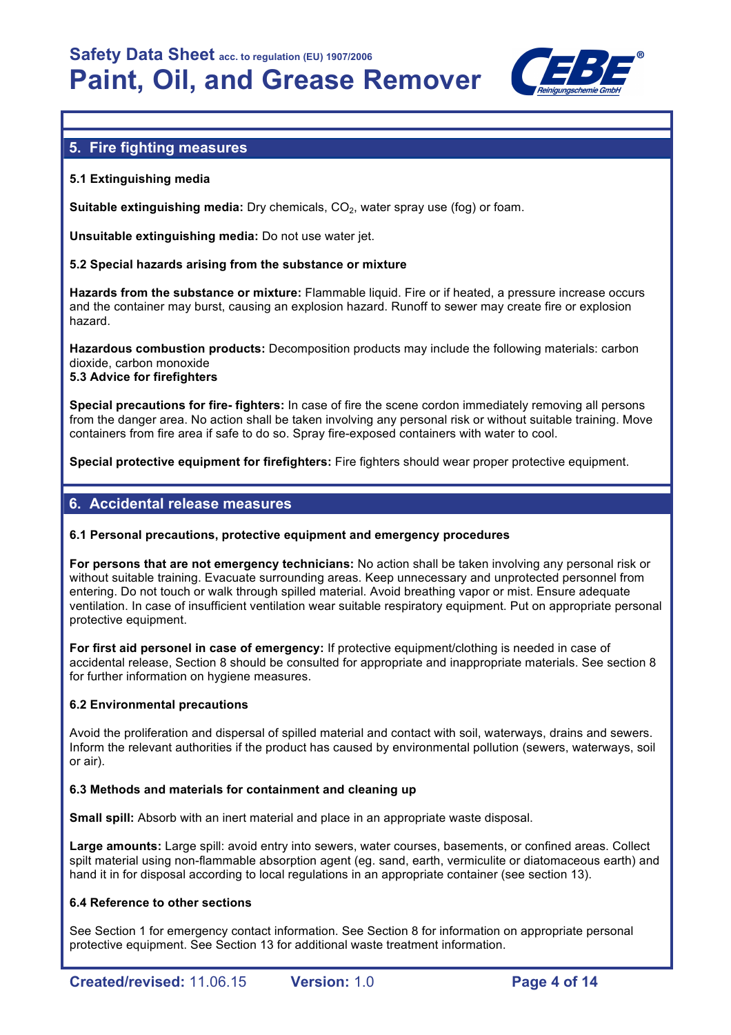

# **5. Fire fighting measures**

# **5.1 Extinguishing media**

**Suitable extinguishing media:** Dry chemicals, CO<sub>2</sub>, water spray use (fog) or foam.

**Unsuitable extinguishing media:** Do not use water jet.

# **5.2 Special hazards arising from the substance or mixture**

**Hazards from the substance or mixture:** Flammable liquid. Fire or if heated, a pressure increase occurs and the container may burst, causing an explosion hazard. Runoff to sewer may create fire or explosion hazard.

**Hazardous combustion products:** Decomposition products may include the following materials: carbon dioxide, carbon monoxide **5.3 Advice for firefighters**

**Special precautions for fire- fighters:** In case of fire the scene cordon immediately removing all persons from the danger area. No action shall be taken involving any personal risk or without suitable training. Move containers from fire area if safe to do so. Spray fire-exposed containers with water to cool.

**Special protective equipment for firefighters:** Fire fighters should wear proper protective equipment.

# **6. Accidental release measures**

# **6.1 Personal precautions, protective equipment and emergency procedures**

**For persons that are not emergency technicians:** No action shall be taken involving any personal risk or without suitable training. Evacuate surrounding areas. Keep unnecessary and unprotected personnel from entering. Do not touch or walk through spilled material. Avoid breathing vapor or mist. Ensure adequate ventilation. In case of insufficient ventilation wear suitable respiratory equipment. Put on appropriate personal protective equipment.

**For first aid personel in case of emergency:** If protective equipment/clothing is needed in case of accidental release, Section 8 should be consulted for appropriate and inappropriate materials. See section 8 for further information on hygiene measures.

# **6.2 Environmental precautions**

Avoid the proliferation and dispersal of spilled material and contact with soil, waterways, drains and sewers. Inform the relevant authorities if the product has caused by environmental pollution (sewers, waterways, soil or air).

#### **6.3 Methods and materials for containment and cleaning up**

**Small spill:** Absorb with an inert material and place in an appropriate waste disposal.

**Large amounts:** Large spill: avoid entry into sewers, water courses, basements, or confined areas. Collect spilt material using non-flammable absorption agent (eg. sand, earth, vermiculite or diatomaceous earth) and hand it in for disposal according to local regulations in an appropriate container (see section 13).

# **6.4 Reference to other sections**

See Section 1 for emergency contact information. See Section 8 for information on appropriate personal protective equipment. See Section 13 for additional waste treatment information.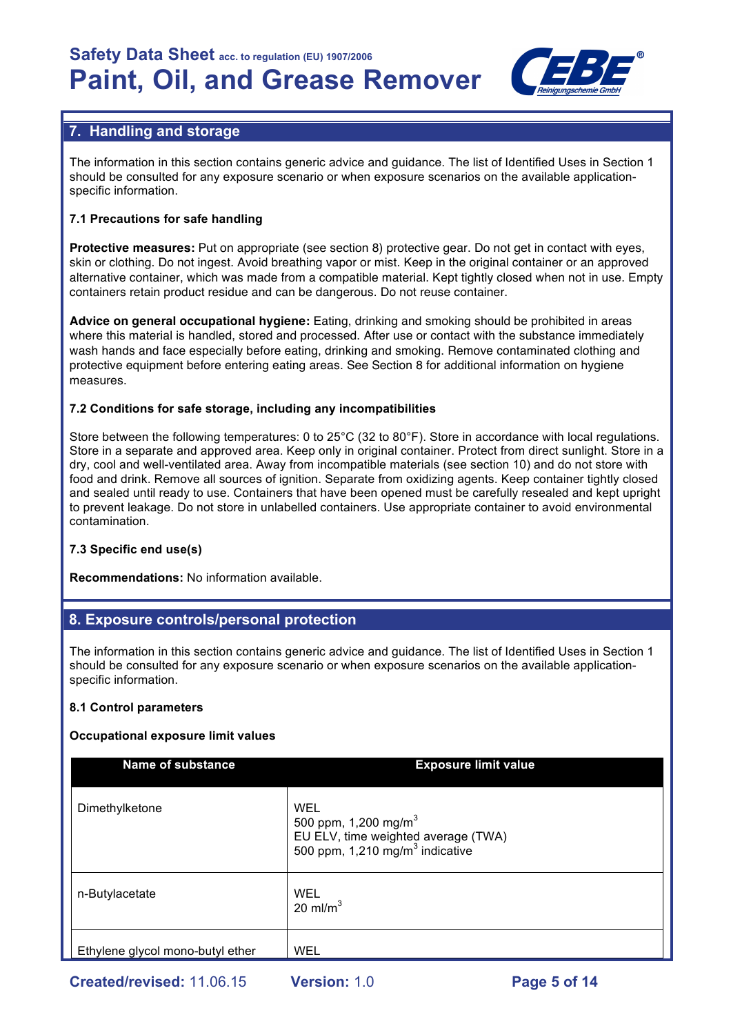

# **7. Handling and storage**

The information in this section contains generic advice and guidance. The list of Identified Uses in Section 1 should be consulted for any exposure scenario or when exposure scenarios on the available applicationspecific information.

# **7.1 Precautions for safe handling**

**Protective measures:** Put on appropriate (see section 8) protective gear. Do not get in contact with eyes, skin or clothing. Do not ingest. Avoid breathing vapor or mist. Keep in the original container or an approved alternative container, which was made from a compatible material. Kept tightly closed when not in use. Empty containers retain product residue and can be dangerous. Do not reuse container.

**Advice on general occupational hygiene:** Eating, drinking and smoking should be prohibited in areas where this material is handled, stored and processed. After use or contact with the substance immediately wash hands and face especially before eating, drinking and smoking. Remove contaminated clothing and protective equipment before entering eating areas. See Section 8 for additional information on hygiene measures.

# **7.2 Conditions for safe storage, including any incompatibilities**

Store between the following temperatures: 0 to 25°C (32 to 80°F). Store in accordance with local regulations. Store in a separate and approved area. Keep only in original container. Protect from direct sunlight. Store in a dry, cool and well-ventilated area. Away from incompatible materials (see section 10) and do not store with food and drink. Remove all sources of ignition. Separate from oxidizing agents. Keep container tightly closed and sealed until ready to use. Containers that have been opened must be carefully resealed and kept upright to prevent leakage. Do not store in unlabelled containers. Use appropriate container to avoid environmental contamination.

# **7.3 Specific end use(s)**

**Recommendations:** No information available.

# **8. Exposure controls/personal protection**

The information in this section contains generic advice and guidance. The list of Identified Uses in Section 1 should be consulted for any exposure scenario or when exposure scenarios on the available applicationspecific information.

# **8.1 Control parameters**

# **Occupational exposure limit values**

| <b>Name of substance</b>         | <b>Exposure limit value</b>                                                                                                   |
|----------------------------------|-------------------------------------------------------------------------------------------------------------------------------|
| Dimethylketone                   | WEL<br>500 ppm, 1,200 mg/m <sup>3</sup><br>EU ELV, time weighted average (TWA)<br>500 ppm, 1,210 mg/m <sup>3</sup> indicative |
| n-Butylacetate                   | <b>WEL</b><br>20 ml/m <sup>3</sup>                                                                                            |
| Ethylene glycol mono-butyl ether | <b>WEL</b>                                                                                                                    |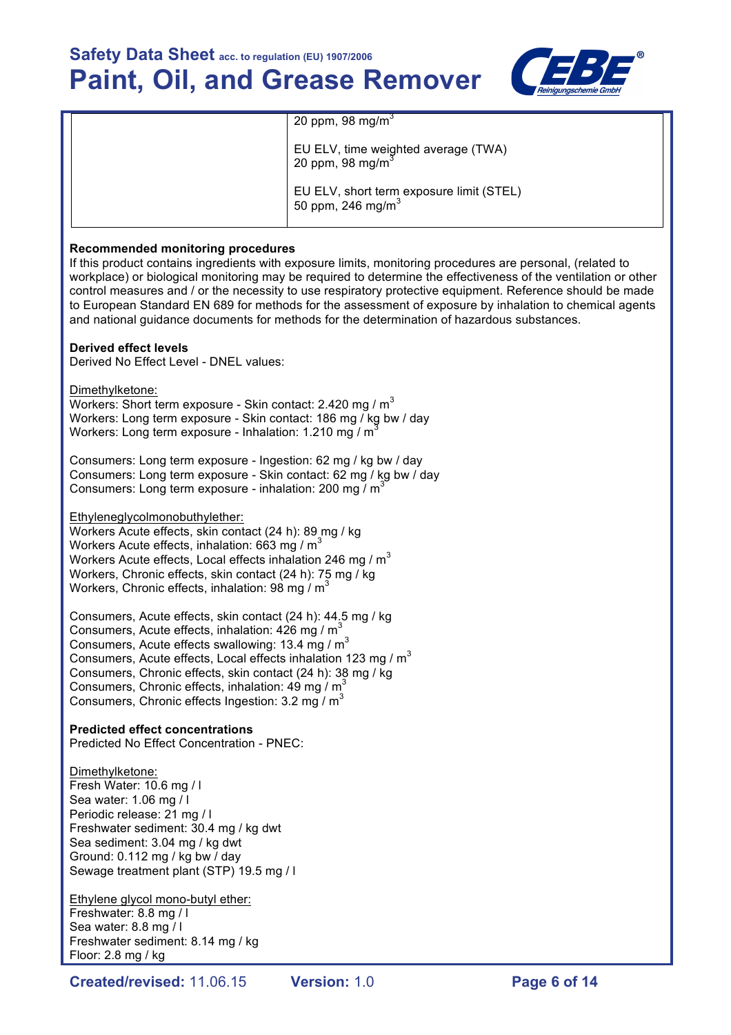

|  | 20 ppm, 98 mg/m <sup>3</sup>                                              |
|--|---------------------------------------------------------------------------|
|  | EU ELV, time weighted average (TWA)<br>20 ppm, 98 mg/m <sup>3</sup>       |
|  | EU ELV, short term exposure limit (STEL)<br>50 ppm, 246 mg/m <sup>3</sup> |

#### **Recommended monitoring procedures**

If this product contains ingredients with exposure limits, monitoring procedures are personal, (related to workplace) or biological monitoring may be required to determine the effectiveness of the ventilation or other control measures and / or the necessity to use respiratory protective equipment. Reference should be made to European Standard EN 689 for methods for the assessment of exposure by inhalation to chemical agents and national guidance documents for methods for the determination of hazardous substances.

#### **Derived effect levels**

Derived No Effect Level - DNEL values:

Dimethylketone: Workers: Short term exposure - Skin contact: 2.420 mg /  $m<sup>3</sup>$ Workers: Long term exposure - Skin contact: 186 mg / kg bw / day Workers: Long term exposure - Inhalation: 1.210 mg / m<sup>3</sup>

Consumers: Long term exposure - Ingestion: 62 mg / kg bw / day Consumers: Long term exposure - Skin contact: 62 mg / kg bw / day Consumers: Long term exposure - inhalation: 200 mg / m<sup>3</sup>

Ethyleneglycolmonobuthylether:

Workers Acute effects, skin contact (24 h): 89 mg / kg Workers Acute effects, inhalation:  $663$  mg / m<sup>3</sup> Workers Acute effects, Local effects inhalation 246 mg /  $m<sup>3</sup>$ Workers, Chronic effects, skin contact (24 h): 75 mg / kg Workers, Chronic effects, inhalation: 98 mg  $/m<sup>3</sup>$ 

Consumers, Acute effects, skin contact (24 h): 44.5 mg / kg Consumers, Acute effects, inhalation:  $426$  mg / m<sup>3</sup> Consumers, Acute effects swallowing: 13.4 mg /  $m<sup>3</sup>$ Consumers, Acute effects, Local effects inhalation 123 mg /  $m<sup>3</sup>$ Consumers, Chronic effects, skin contact (24 h): 38 mg / kg Consumers, Chronic effects, inhalation: 49 mg /  $m^3$ Consumers, Chronic effects Ingestion:  $3.2$  mg / m<sup>3</sup>

#### **Predicted effect concentrations**

Predicted No Effect Concentration - PNEC:

Dimethylketone: Fresh Water: 10.6 mg / l Sea water: 1.06 mg / l Periodic release: 21 mg / l Freshwater sediment: 30.4 mg / kg dwt Sea sediment: 3.04 mg / kg dwt Ground: 0.112 mg / kg bw / day Sewage treatment plant (STP) 19.5 mg / l

Ethylene glycol mono-butyl ether: Freshwater: 8.8 mg / l Sea water: 8.8 mg / l Freshwater sediment: 8.14 mg / kg Floor: 2.8 mg / kg

**Created/revised:** 11.06.15 **Version:** 1.0 **Page 6 of 14**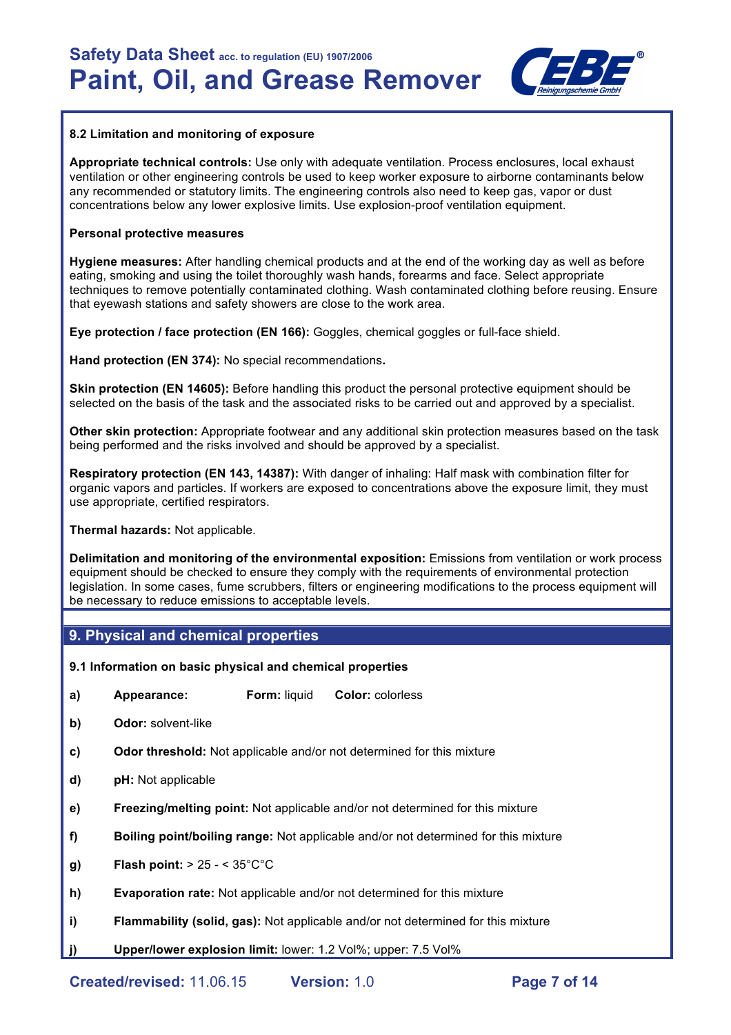

#### **8.2 Limitation and monitoring of exposure**

**Appropriate technical controls:** Use only with adequate ventilation. Process enclosures, local exhaust ventilation or other engineering controls be used to keep worker exposure to airborne contaminants below any recommended or statutory limits. The engineering controls also need to keep gas, vapor or dust concentrations below any lower explosive limits. Use explosion-proof ventilation equipment.

#### **Personal protective measures**

**Hygiene measures:** After handling chemical products and at the end of the working day as well as before eating, smoking and using the toilet thoroughly wash hands, forearms and face. Select appropriate techniques to remove potentially contaminated clothing. Wash contaminated clothing before reusing. Ensure that eyewash stations and safety showers are close to the work area.

**Eye protection / face protection (EN 166):** Goggles, chemical goggles or full-face shield.

**Hand protection (EN 374):** No special recommendations**.**

**Skin protection (EN 14605):** Before handling this product the personal protective equipment should be selected on the basis of the task and the associated risks to be carried out and approved by a specialist.

**Other skin protection:** Appropriate footwear and any additional skin protection measures based on the task being performed and the risks involved and should be approved by a specialist.

**Respiratory protection (EN 143, 14387):** With danger of inhaling: Half mask with combination filter for organic vapors and particles. If workers are exposed to concentrations above the exposure limit, they must use appropriate, certified respirators.

**Thermal hazards:** Not applicable.

**Delimitation and monitoring of the environmental exposition:** Emissions from ventilation or work process equipment should be checked to ensure they comply with the requirements of environmental protection legislation. In some cases, fume scrubbers, filters or engineering modifications to the process equipment will be necessary to reduce emissions to acceptable levels.

# **9. Physical and chemical properties**

**9.1 Information on basic physical and chemical properties** 

- **a) Appearance: Form:** liquid **Color:** colorless
- **b) Odor:** solvent-like
- **c) Odor threshold:** Not applicable and/or not determined for this mixture
- **d) pH:** Not applicable
- **e) Freezing/melting point:** Not applicable and/or not determined for this mixture
- **f) Boiling point/boiling range:** Not applicable and/or not determined for this mixture
- **g) Flash point:** > 25 < 35°C°C
- **h) Evaporation rate:** Not applicable and/or not determined for this mixture
- **i) Flammability (solid, gas):** Not applicable and/or not determined for this mixture
- **j) Upper/lower explosion limit:** lower: 1.2 Vol%; upper: 7.5 Vol%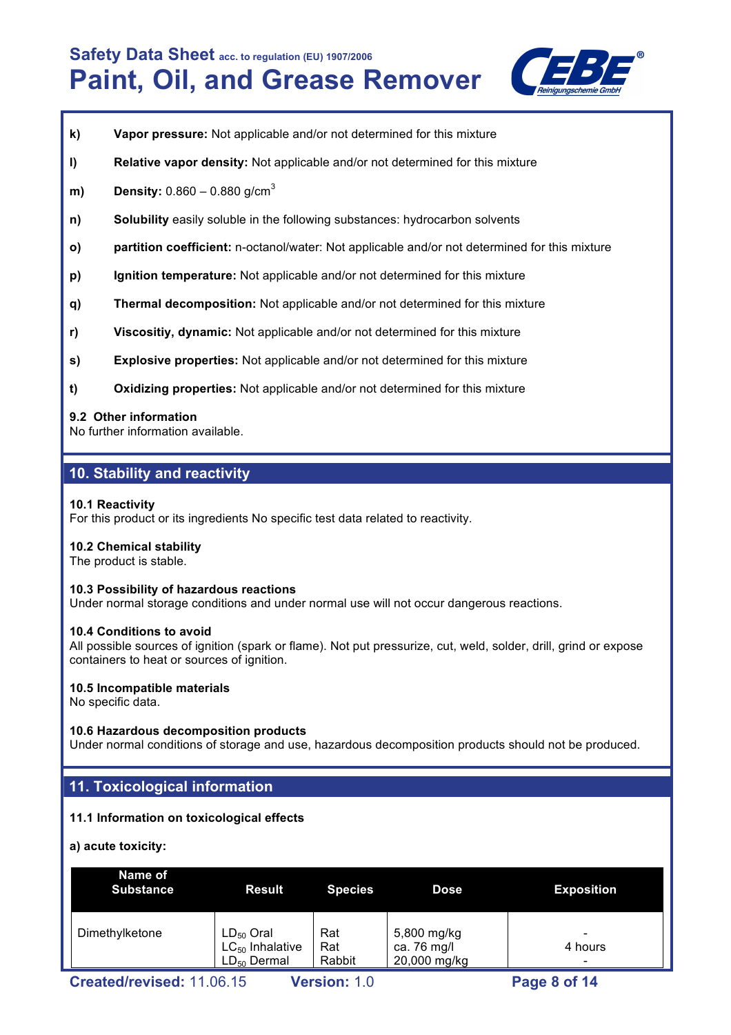

- **k) Vapor pressure:** Not applicable and/or not determined for this mixture
- **l) Relative vapor density:** Not applicable and/or not determined for this mixture
- **m) Density:** 0.860 0.880 g/cm<sup>3</sup>
- **n) Solubility** easily soluble in the following substances: hydrocarbon solvents
- **o) partition coefficient:** n-octanol/water: Not applicable and/or not determined for this mixture
- **p) Ignition temperature:** Not applicable and/or not determined for this mixture
- **q) Thermal decomposition:** Not applicable and/or not determined for this mixture
- **r) Viscositiy, dynamic:** Not applicable and/or not determined for this mixture
- **s) Explosive properties:** Not applicable and/or not determined for this mixture
- **t) Oxidizing properties:** Not applicable and/or not determined for this mixture

#### **9.2 Other information**

No further information available.

# **10. Stability and reactivity**

#### **10.1 Reactivity**

For this product or its ingredients No specific test data related to reactivity.

# **10.2 Chemical stability**

The product is stable.

#### **10.3 Possibility of hazardous reactions**

Under normal storage conditions and under normal use will not occur dangerous reactions.

#### **10.4 Conditions to avoid**

All possible sources of ignition (spark or flame). Not put pressurize, cut, weld, solder, drill, grind or expose containers to heat or sources of ignition.

# **10.5 Incompatible materials**

No specific data.

# **10.6 Hazardous decomposition products**

Under normal conditions of storage and use, hazardous decomposition products should not be produced.

# **11. Toxicological information**

# **11.1 Information on toxicological effects**

**a) acute toxicity:**

| Name of<br><b>Substance</b> | <b>Result</b>                                              | <b>Species</b>       | <b>Dose</b>                                | <b>Exposition</b> |
|-----------------------------|------------------------------------------------------------|----------------------|--------------------------------------------|-------------------|
| Dimethylketone              | $LD_{50}$ Oral<br>$LC_{50}$ Inhalative<br>$LD_{50}$ Dermal | Rat<br>Rat<br>Rabbit | 5,800 mg/kg<br>ca. 76 mg/l<br>20,000 mg/kg | 4 hours<br>-      |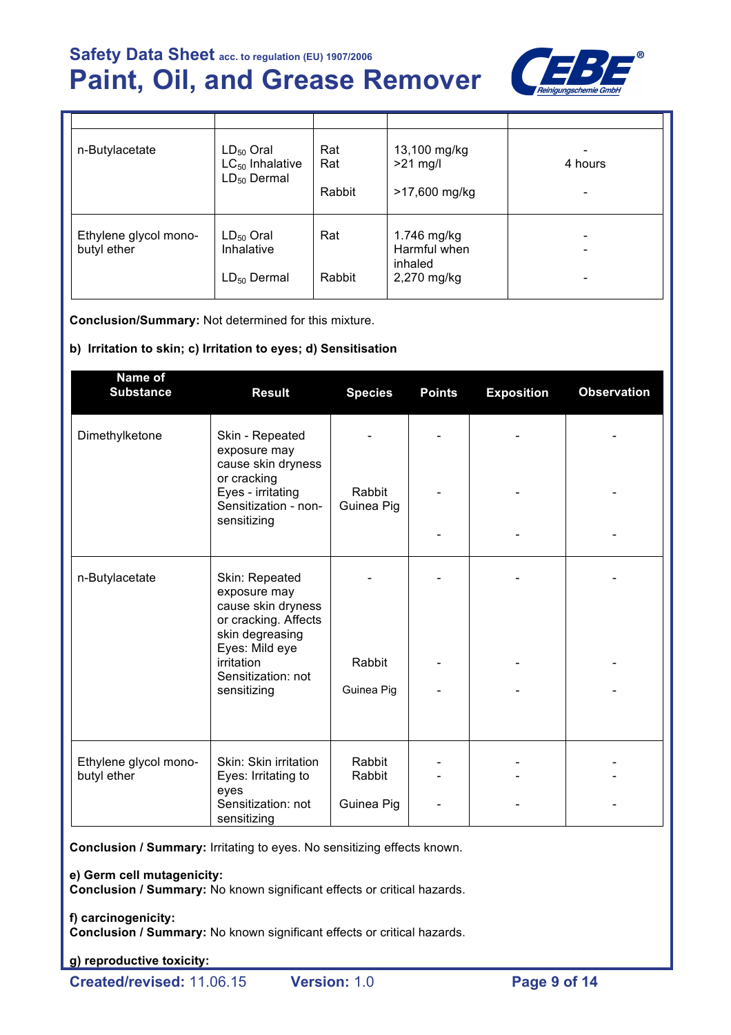

| n-Butylacetate                       | $LD_{50}$ Oral<br>$LC_{50}$ Inhalative<br>$LD_{50}$ Dermal | Rat<br>Rat<br>Rabbit | 13,100 mg/kg<br>$>21$ mg/l<br>>17,600 mg/kg           | 4 hours |
|--------------------------------------|------------------------------------------------------------|----------------------|-------------------------------------------------------|---------|
| Ethylene glycol mono-<br>butyl ether | $LD_{50}$ Oral<br>Inhalative<br>$LD_{50}$ Dermal           | Rat<br>Rabbit        | 1.746 mg/kg<br>Harmful when<br>inhaled<br>2,270 mg/kg |         |

**Conclusion/Summary:** Not determined for this mixture.

# **b) Irritation to skin; c) Irritation to eyes; d) Sensitisation**

| Name of<br><b>Substance</b>          | <b>Result</b>                                                                                   | <b>Species</b>       | <b>Points</b> | <b>Exposition</b> | <b>Observation</b> |
|--------------------------------------|-------------------------------------------------------------------------------------------------|----------------------|---------------|-------------------|--------------------|
| Dimethylketone                       | Skin - Repeated<br>exposure may<br>cause skin dryness                                           |                      |               |                   |                    |
|                                      | or cracking<br>Eyes - irritating<br>Sensitization - non-<br>sensitizing                         | Rabbit<br>Guinea Pig |               |                   |                    |
|                                      |                                                                                                 |                      |               |                   |                    |
| n-Butylacetate                       | Skin: Repeated<br>exposure may<br>cause skin dryness<br>or cracking. Affects<br>skin degreasing |                      |               |                   |                    |
|                                      | Eyes: Mild eye<br>irritation<br>Sensitization: not                                              | Rabbit               |               |                   |                    |
|                                      | sensitizing                                                                                     | Guinea Pig           |               |                   |                    |
| Ethylene glycol mono-<br>butyl ether | Skin: Skin irritation<br>Eyes: Irritating to<br>eyes                                            | Rabbit<br>Rabbit     |               |                   |                    |
|                                      | Sensitization: not<br>sensitizing                                                               | Guinea Pig           |               |                   |                    |

**Conclusion / Summary:** Irritating to eyes. No sensitizing effects known.

**e) Germ cell mutagenicity:**

**Conclusion / Summary:** No known significant effects or critical hazards.

**f) carcinogenicity:**

**Conclusion / Summary:** No known significant effects or critical hazards.

**g) reproductive toxicity:**

**Created/revised:** 11.06.15 **Version:** 1.0 **Page 9 of 14**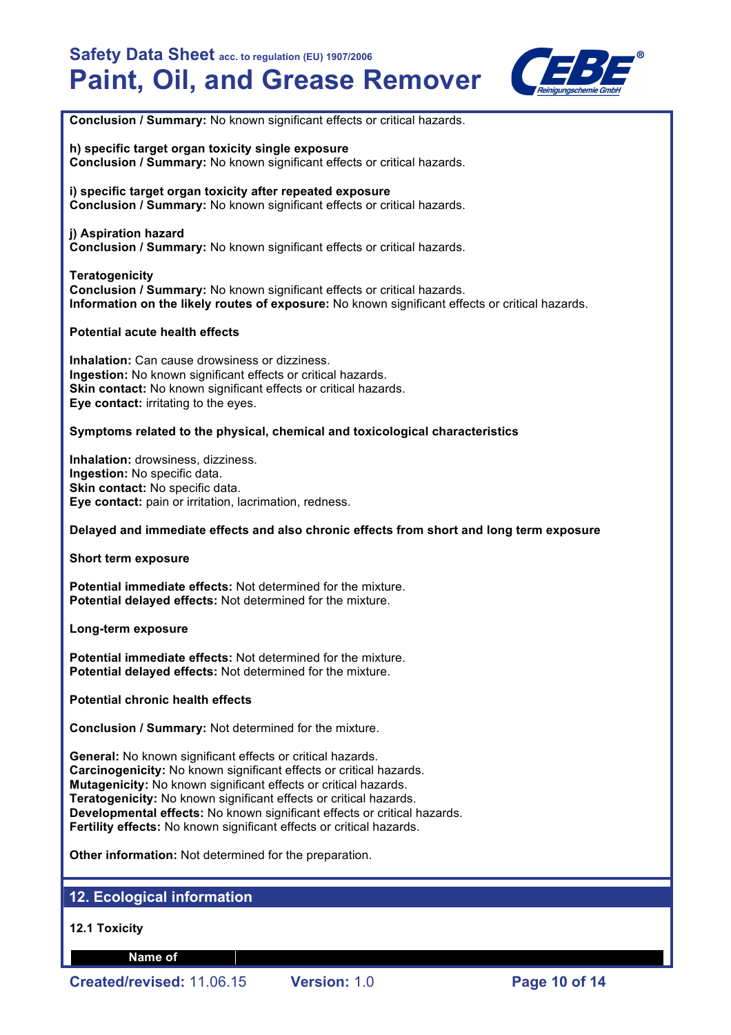

**Conclusion / Summary:** No known significant effects or critical hazards.

**h) specific target organ toxicity single exposure Conclusion / Summary:** No known significant effects or critical hazards.

**i) specific target organ toxicity after repeated exposure Conclusion / Summary:** No known significant effects or critical hazards.

# **j) Aspiration hazard**

**Conclusion / Summary:** No known significant effects or critical hazards.

#### **Teratogenicity**

**Conclusion / Summary:** No known significant effects or critical hazards. **Information on the likely routes of exposure:** No known significant effects or critical hazards.

#### **Potential acute health effects**

**Inhalation:** Can cause drowsiness or dizziness. **Ingestion:** No known significant effects or critical hazards. **Skin contact:** No known significant effects or critical hazards. **Eye contact:** irritating to the eyes.

#### **Symptoms related to the physical, chemical and toxicological characteristics**

**Inhalation:** drowsiness, dizziness. **Ingestion:** No specific data. **Skin contact:** No specific data. **Eye contact:** pain or irritation, lacrimation, redness.

#### **Delayed and immediate effects and also chronic effects from short and long term exposure**

#### **Short term exposure**

**Potential immediate effects:** Not determined for the mixture. **Potential delayed effects:** Not determined for the mixture.

#### **Long-term exposure**

**Potential immediate effects:** Not determined for the mixture. **Potential delayed effects:** Not determined for the mixture.

#### **Potential chronic health effects**

**Conclusion / Summary:** Not determined for the mixture.

**General:** No known significant effects or critical hazards. **Carcinogenicity:** No known significant effects or critical hazards. **Mutagenicity:** No known significant effects or critical hazards. **Teratogenicity:** No known significant effects or critical hazards. **Developmental effects:** No known significant effects or critical hazards. **Fertility effects:** No known significant effects or critical hazards.

**Other information:** Not determined for the preparation.

# **12. Ecological information**

**12.1 Toxicity**

**Name of**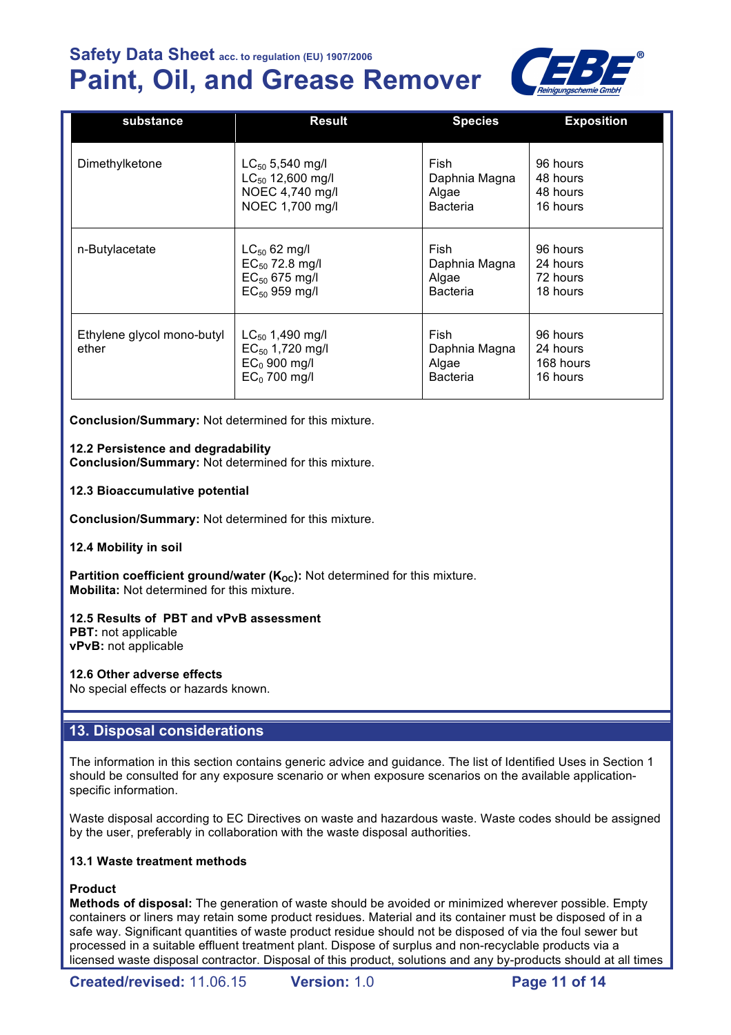# **Paint, Oil, and Grease Remover**



| substance                           | <b>Result</b>                                                                    | <b>Species</b>                             | <b>Exposition</b>                             |
|-------------------------------------|----------------------------------------------------------------------------------|--------------------------------------------|-----------------------------------------------|
| Dimethylketone                      | $LC_{50}$ 5,540 mg/l                                                             | Fish                                       | 96 hours                                      |
|                                     | $LC_{50}$ 12,600 mg/l                                                            | Daphnia Magna                              | 48 hours                                      |
|                                     | NOEC 4,740 mg/l                                                                  | Algae                                      | 48 hours                                      |
|                                     | NOEC 1,700 mg/l                                                                  | <b>Bacteria</b>                            | 16 hours                                      |
| n-Butylacetate                      | $LC_{50}$ 62 mg/l                                                                | Fish                                       | 96 hours                                      |
|                                     | $EC_{50}$ 72.8 mg/l                                                              | Daphnia Magna                              | 24 hours                                      |
|                                     | $EC_{50}$ 675 mg/l                                                               | Algae                                      | 72 hours                                      |
|                                     | $EC_{50}$ 959 mg/l                                                               | <b>Bacteria</b>                            | 18 hours                                      |
| Ethylene glycol mono-butyl<br>ether | $LC_{50}$ 1,490 mg/l<br>$EC_{50}$ 1,720 mg/l<br>$EC0$ 900 mg/l<br>$EC0$ 700 mg/l | Fish<br>Daphnia Magna<br>Algae<br>Bacteria | 96 hours<br>24 hours<br>168 hours<br>16 hours |

**Conclusion/Summary:** Not determined for this mixture.

# **12.2 Persistence and degradability**

**Conclusion/Summary:** Not determined for this mixture.

**12.3 Bioaccumulative potential**

**Conclusion/Summary:** Not determined for this mixture.

#### **12.4 Mobility in soil**

**Partition coefficient ground/water (K<sub>oc</sub>):** Not determined for this mixture. **Mobilita:** Not determined for this mixture.

# **12.5 Results of PBT and vPvB assessment**

**PBT:** not applicable **vPvB:** not applicable

#### **12.6 Other adverse effects**

No special effects or hazards known.

# **13. Disposal considerations**

The information in this section contains generic advice and guidance. The list of Identified Uses in Section 1 should be consulted for any exposure scenario or when exposure scenarios on the available applicationspecific information.

Waste disposal according to EC Directives on waste and hazardous waste. Waste codes should be assigned by the user, preferably in collaboration with the waste disposal authorities.

#### **13.1 Waste treatment methods**

# **Product**

**Methods of disposal:** The generation of waste should be avoided or minimized wherever possible. Empty containers or liners may retain some product residues. Material and its container must be disposed of in a safe way. Significant quantities of waste product residue should not be disposed of via the foul sewer but processed in a suitable effluent treatment plant. Dispose of surplus and non-recyclable products via a licensed waste disposal contractor. Disposal of this product, solutions and any by-products should at all times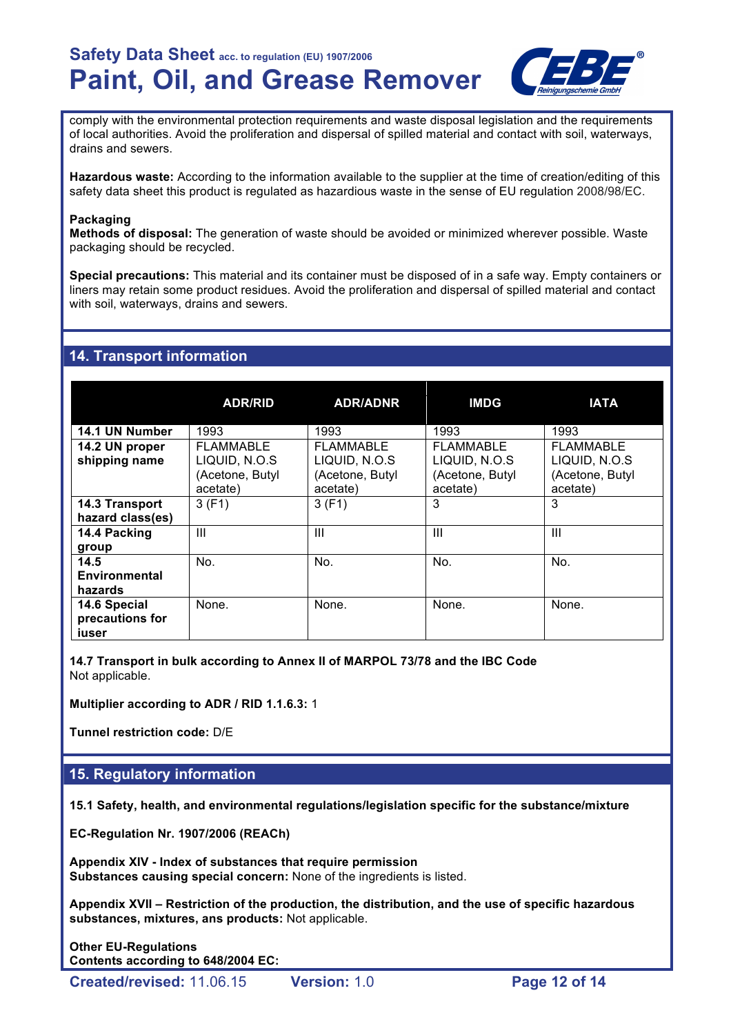

comply with the environmental protection requirements and waste disposal legislation and the requirements of local authorities. Avoid the proliferation and dispersal of spilled material and contact with soil, waterways, drains and sewers.

**Hazardous waste:** According to the information available to the supplier at the time of creation/editing of this safety data sheet this product is regulated as hazardious waste in the sense of EU regulation 2008/98/EC.

#### **Packaging**

**Methods of disposal:** The generation of waste should be avoided or minimized wherever possible. Waste packaging should be recycled.

**Special precautions:** This material and its container must be disposed of in a safe way. Empty containers or liners may retain some product residues. Avoid the proliferation and dispersal of spilled material and contact with soil, waterways, drains and sewers.

# **14. Transport information**

|                                          | <b>ADR/RID</b>                                            | <b>ADR/ADNR</b>                                           | <b>IMDG</b>                                                      | <b>IATA</b>                                               |
|------------------------------------------|-----------------------------------------------------------|-----------------------------------------------------------|------------------------------------------------------------------|-----------------------------------------------------------|
| 14.1 UN Number                           | 1993                                                      | 1993                                                      | 1993                                                             | 1993                                                      |
| 14.2 UN proper<br>shipping name          | FLAMMABLE<br>LIQUID, N.O.S<br>(Acetone, Butyl<br>acetate) | FLAMMABLE<br>LIQUID, N.O.S<br>(Acetone, Butyl<br>acetate) | <b>FLAMMABLE</b><br>LIQUID, N.O.S<br>(Acetone, Butyl<br>acetate) | FLAMMABLE<br>LIQUID, N.O.S<br>(Acetone, Butyl<br>acetate) |
| 14.3 Transport<br>hazard class(es)       | 3(F1)                                                     | 3(F1)                                                     | 3                                                                | 3                                                         |
| 14.4 Packing<br>group                    | Ш                                                         | Ш                                                         | Ш                                                                | $\mathbf{III}$                                            |
| 14.5<br>Environmental<br>hazards         | No.                                                       | No.                                                       | No.                                                              | No.                                                       |
| 14.6 Special<br>precautions for<br>iuser | None.                                                     | None.                                                     | None.                                                            | None.                                                     |

**14.7 Transport in bulk according to Annex II of MARPOL 73/78 and the IBC Code** Not applicable.

**Multiplier according to ADR / RID 1.1.6.3:** 1

**Tunnel restriction code:** D/E

# **15. Regulatory information**

**15.1 Safety, health, and environmental regulations/legislation specific for the substance/mixture**

**EC-Regulation Nr. 1907/2006 (REACh)**

**Appendix XIV - Index of substances that require permission Substances causing special concern:** None of the ingredients is listed.

**Appendix XVII – Restriction of the production, the distribution, and the use of specific hazardous substances, mixtures, ans products:** Not applicable.

**Other EU-Regulations Contents according to 648/2004 EC:**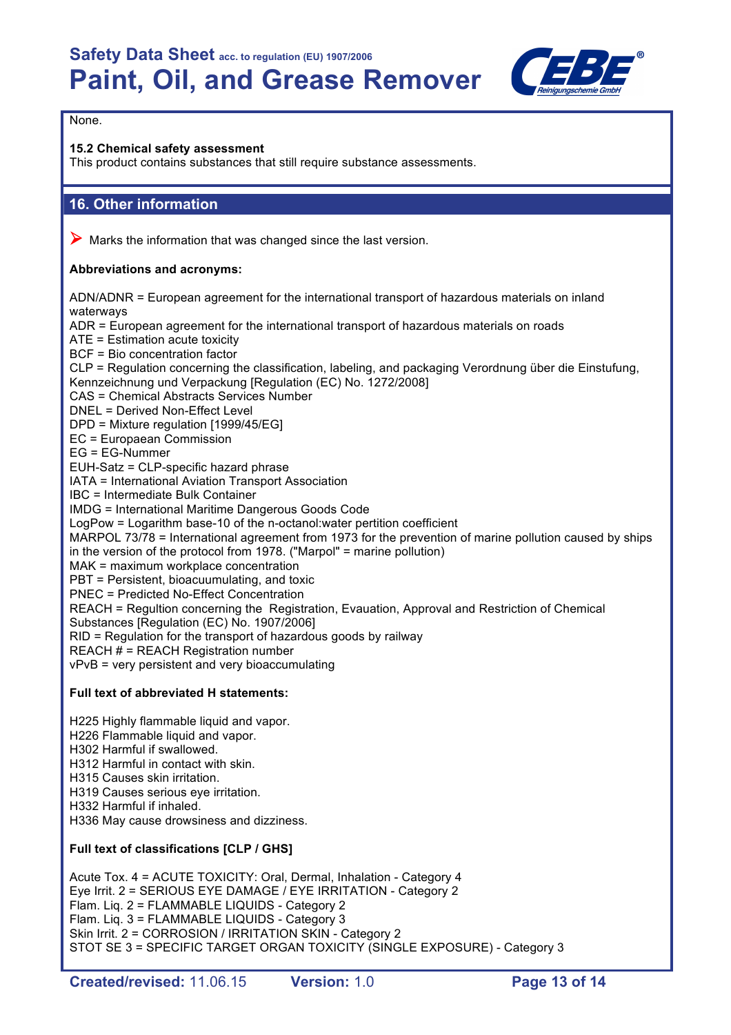

# None.

# **15.2 Chemical safety assessment**

This product contains substances that still require substance assessments.

# **16. Other information**

 $\triangleright$  Marks the information that was changed since the last version.

# **Abbreviations and acronyms:**

ADN/ADNR = European agreement for the international transport of hazardous materials on inland waterways ADR = European agreement for the international transport of hazardous materials on roads ATE = Estimation acute toxicity BCF = Bio concentration factor CLP = Regulation concerning the classification, labeling, and packaging Verordnung über die Einstufung, Kennzeichnung und Verpackung [Regulation (EC) No. 1272/2008] CAS = Chemical Abstracts Services Number DNEL = Derived Non-Effect Level DPD = Mixture regulation [1999/45/EG] EC = Europaean Commission EG = EG-Nummer EUH-Satz = CLP-specific hazard phrase IATA = International Aviation Transport Association IBC = Intermediate Bulk Container IMDG = International Maritime Dangerous Goods Code LogPow = Logarithm base-10 of the n-octanol:water pertition coefficient MARPOL 73/78 = International agreement from 1973 for the prevention of marine pollution caused by ships in the version of the protocol from 1978. ("Marpol" = marine pollution) MAK = maximum workplace concentration PBT = Persistent, bioacuumulating, and toxic PNEC = Predicted No-Effect Concentration REACH = Regultion concerning the Registration, Evauation, Approval and Restriction of Chemical Substances [Regulation (EC) No. 1907/2006] RID = Regulation for the transport of hazardous goods by railway REACH # = REACH Registration number vPvB = very persistent and very bioaccumulating

# **Full text of abbreviated H statements:**

H225 Highly flammable liquid and vapor. H226 Flammable liquid and vapor. H302 Harmful if swallowed. H312 Harmful in contact with skin. H315 Causes skin irritation. H319 Causes serious eye irritation. H332 Harmful if inhaled. H336 May cause drowsiness and dizziness.

# **Full text of classifications [CLP / GHS]**

Acute Tox. 4 = ACUTE TOXICITY: Oral, Dermal, Inhalation - Category 4 Eye Irrit. 2 = SERIOUS EYE DAMAGE / EYE IRRITATION - Category 2 Flam. Liq. 2 = FLAMMABLE LIQUIDS - Category 2 Flam. Liq. 3 = FLAMMABLE LIQUIDS - Category 3 Skin Irrit. 2 = CORROSION / IRRITATION SKIN - Category 2 STOT SE 3 = SPECIFIC TARGET ORGAN TOXICITY (SINGLE EXPOSURE) - Category 3